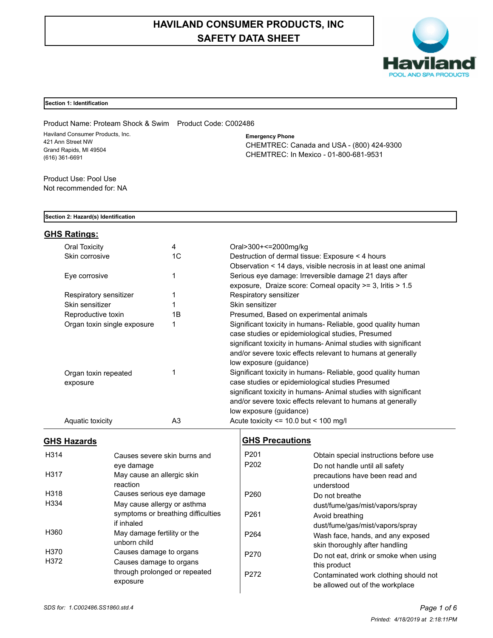# **HAVILAND CONSUMER PRODUCTS, INC SAFETY DATA SHEET**



# **Section 1: Identification**

Product Name: Proteam Shock & Swim Product Code: C002486 Haviland Consumer Products, Inc. 421 Ann Street NW Grand Rapids, MI 49504 (616) 361-6691

**Emergency Phone** CHEMTREC: Canada and USA - (800) 424-9300 CHEMTREC: In Mexico - 01-800-681-9531

Product Use: Pool Use Not recommended for: NA

# **Section 2: Hazard(s) Identification**

# **GHS Ratings:**

| Oral Toxicity                    | 4  | Oral>300+<=2000mg/kg                                                                                                                                                                                                                                                          |
|----------------------------------|----|-------------------------------------------------------------------------------------------------------------------------------------------------------------------------------------------------------------------------------------------------------------------------------|
| Skin corrosive                   | 1C | Destruction of dermal tissue: Exposure < 4 hours                                                                                                                                                                                                                              |
|                                  |    | Observation < 14 days, visible necrosis in at least one animal                                                                                                                                                                                                                |
| Eye corrosive                    |    | Serious eye damage: Irreversible damage 21 days after                                                                                                                                                                                                                         |
|                                  |    | exposure, Draize score: Corneal opacity >= 3, Iritis > 1.5                                                                                                                                                                                                                    |
| Respiratory sensitizer           |    | Respiratory sensitizer                                                                                                                                                                                                                                                        |
| Skin sensitizer                  |    | Skin sensitizer                                                                                                                                                                                                                                                               |
| Reproductive toxin               | 1В | Presumed, Based on experimental animals                                                                                                                                                                                                                                       |
| Organ toxin single exposure      |    | Significant toxicity in humans- Reliable, good quality human<br>case studies or epidemiological studies, Presumed<br>significant toxicity in humans-Animal studies with significant<br>and/or severe toxic effects relevant to humans at generally<br>low exposure (guidance) |
| Organ toxin repeated<br>exposure |    | Significant toxicity in humans- Reliable, good quality human<br>case studies or epidemiological studies Presumed<br>significant toxicity in humans-Animal studies with significant<br>and/or severe toxic effects relevant to humans at generally<br>low exposure (guidance)  |
| Aquatic toxicity                 | A3 | Acute toxicity $\leq$ 10.0 but $\leq$ 100 mg/l                                                                                                                                                                                                                                |

# **GHS Hazards**

| H <sub>3</sub> 14 | Causes severe skin burns and<br>eye damage |
|-------------------|--------------------------------------------|
| H317              | May cause an allergic skin                 |
|                   | reaction                                   |
| H318              | Causes serious eye damage                  |
| H334              | May cause allergy or asthma                |
|                   | symptoms or breathing difficulties         |
|                   | if inhaled                                 |
| H360              | May damage fertility or the                |
|                   | unborn child                               |
| H370              | Causes damage to organs                    |
| H372              | Causes damage to organs                    |
|                   | through prolonged or repeated              |
|                   | exposure                                   |

# **GHS Precautions**

| P201 | Obtain special instructions before use |
|------|----------------------------------------|
| P202 | Do not handle until all safety         |
|      | precautions have been read and         |
|      | understood                             |
| P260 | Do not breathe                         |
|      | dust/fume/gas/mist/vapors/spray        |
| P261 | Avoid breathing                        |
|      | dust/fume/gas/mist/vapors/spray        |
| P264 | Wash face, hands, and any exposed      |
|      | skin thoroughly after handling         |
| P270 | Do not eat, drink or smoke when using  |
|      | this product                           |
| P272 | Contaminated work clothing should not  |
|      | be allowed out of the workplace        |
|      |                                        |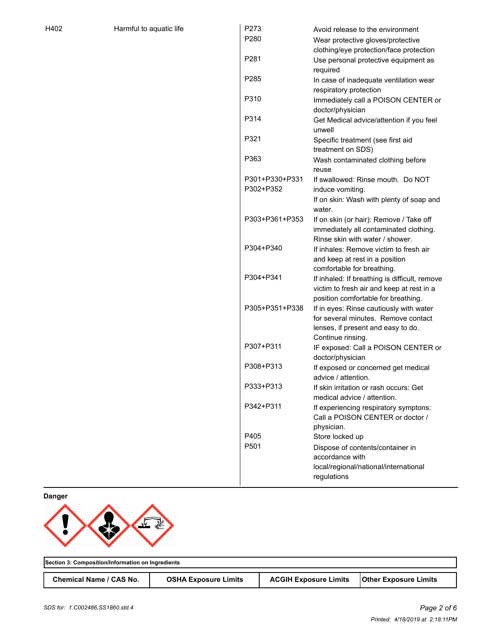| P273             | Avoid release to the environment                                                           |
|------------------|--------------------------------------------------------------------------------------------|
| P280             | Wear protective gloves/protective                                                          |
|                  | clothing/eye protection/face protection                                                    |
| P281             | Use personal protective equipment as                                                       |
|                  | required                                                                                   |
| P <sub>285</sub> | In case of inadequate ventilation wear                                                     |
|                  | respiratory protection                                                                     |
| P310             | Immediately call a POISON CENTER or                                                        |
|                  | doctor/physician                                                                           |
| P314             | Get Medical advice/attention if you feel                                                   |
|                  | unwell                                                                                     |
| P321             | Specific treatment (see first aid                                                          |
|                  | treatment on SDS)                                                                          |
| P363             | Wash contaminated clothing before                                                          |
|                  | reuse                                                                                      |
| P301+P330+P331   | If swallowed: Rinse mouth. Do NOT                                                          |
| P302+P352        | induce vomiting.                                                                           |
|                  | If on skin: Wash with plenty of soap and                                                   |
|                  | water.                                                                                     |
| P303+P361+P353   |                                                                                            |
|                  | If on skin (or hair): Remove / Take off<br>immediately all contaminated clothing.          |
|                  | Rinse skin with water / shower.                                                            |
| P304+P340        | If inhales: Remove victim to fresh air                                                     |
|                  |                                                                                            |
|                  | and keep at rest in a position                                                             |
| P304+P341        | comfortable for breathing.                                                                 |
|                  | If inhaled: If breathing is difficult, remove<br>victim to fresh air and keep at rest in a |
|                  | position comfortable for breathing.                                                        |
| P305+P351+P338   |                                                                                            |
|                  | If in eyes: Rinse cautiously with water<br>for several minutes. Remove contact             |
|                  |                                                                                            |
|                  | lenses, if present and easy to do.<br>Continue rinsing.                                    |
| P307+P311        |                                                                                            |
|                  | IF exposed: Call a POISON CENTER or<br>doctor/physician                                    |
| P308+P313        |                                                                                            |
|                  | If exposed or concerned get medical<br>advice / attention.                                 |
| P333+P313        |                                                                                            |
|                  | If skin irritation or rash occurs: Get                                                     |
| P342+P311        | medical advice / attention.                                                                |
|                  | If experiencing respiratory symptons:                                                      |
|                  | Call a POISON CENTER or doctor /                                                           |
|                  | physician.                                                                                 |
| P405             | Store locked up                                                                            |
| P501             | Dispose of contents/container in                                                           |
|                  | accordance with                                                                            |
|                  | local/regional/national/international                                                      |
|                  | regulations                                                                                |

**Danger**



**Section 3: Composition/Information on Ingredients** Chemical Name / CAS No. | OSHA Exposure Limits | ACGIH Exposure Limits | Other Exposure Limits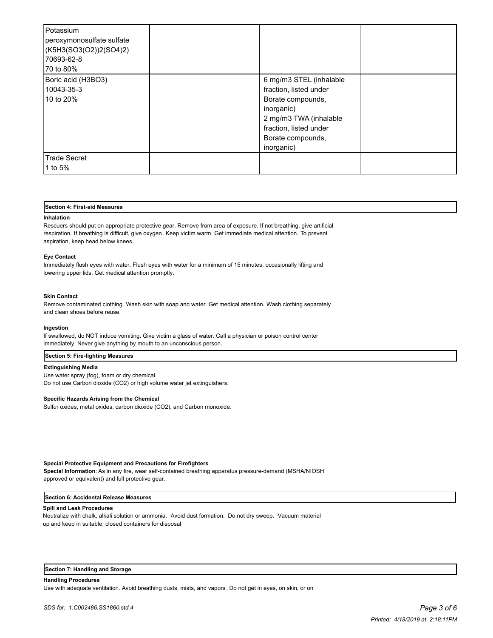| Potassium<br>peroxymonosulfate sulfate<br>(K5H3(SO3(O2))2(SO4)2)<br>70693-62-8<br>170 to 80% |                                                                                                                                                                             |  |
|----------------------------------------------------------------------------------------------|-----------------------------------------------------------------------------------------------------------------------------------------------------------------------------|--|
| Boric acid (H3BO3)<br>10043-35-3<br>10 to 20%                                                | 6 mg/m3 STEL (inhalable<br>fraction, listed under<br>Borate compounds,<br>inorganic)<br>2 mg/m3 TWA (inhalable<br>fraction, listed under<br>Borate compounds,<br>inorganic) |  |
| Trade Secret<br>1 to 5%                                                                      |                                                                                                                                                                             |  |

#### **Section 4: First-aid Measures**

#### **Inhalation**

Rescuers should put on appropriate protective gear. Remove from area of exposure. If not breathing, give artificial respiration. If breathing is difficult, give oxygen. Keep victim warm. Get immediate medical attention. To prevent aspiration, keep head below knees.

#### **Eye Contact**

Immediately flush eyes with water. Flush eyes with water for a minimum of 15 minutes, occasionally lifting and lowering upper lids. Get medical attention promptly.

### **Skin Contact**

Remove contaminated clothing. Wash skin with soap and water. Get medical attention. Wash clothing separately and clean shoes before reuse.

#### **Ingestion**

If swallowed, do NOT induce vomiting. Give victim a glass of water. Call a physician or poison control center immediately. Never give anything by mouth to an unconscious person.

#### **Section 5: Fire-fighting Measures**

#### **Extinguishing Media**

Use water spray (fog), foam or dry chemical. Do not use Carbon dioxide (CO2) or high volume water jet extinguishers.

#### **Specific Hazards Arising from the Chemical**

Sulfur oxides, metal oxides, carbon dioxide (CO2), and Carbon monoxide.

#### **Special Protective Equipment and Precautions for Firefighters**

**Special Information**: As in any fire, wear self-contained breathing apparatus pressure-demand (MSHA/NIOSH approved or equivalent) and full protective gear.

### **Section 6: Accidental Release Measures**

#### **Spill and Leak Procedures**

Neutralize with chalk, alkali solution or ammonia. Avoid dust formation. Do not dry sweep. Vacuum material up and keep in suitable, closed containers for disposal

#### **Section 7: Handling and Storage**

**Handling Procedures**

Use with adequate ventilation. Avoid breathing dusts, mists, and vapors. Do not get in eyes, on skin, or on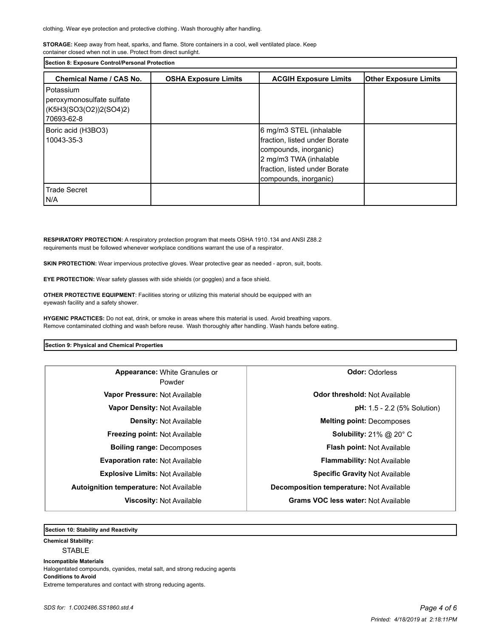**STORAGE:** Keep away from heat, sparks, and flame. Store containers in a cool, well ventilated place. Keep container closed when not in use. Protect from direct sunlight.

**Section 8: Exposure Control/Personal Protection** 

| Chemical Name / CAS No.                                                        | <b>OSHA Exposure Limits</b> | <b>ACGIH Exposure Limits</b>                                                                                                                                          | <b>Other Exposure Limits</b> |
|--------------------------------------------------------------------------------|-----------------------------|-----------------------------------------------------------------------------------------------------------------------------------------------------------------------|------------------------------|
| Potassium<br>peroxymonosulfate sulfate<br>(K5H3(SO3(O2))2(SO4)2)<br>70693-62-8 |                             |                                                                                                                                                                       |                              |
| Boric acid (H3BO3)<br>10043-35-3                                               |                             | 6 mg/m3 STEL (inhalable<br>fraction, listed under Borate<br>compounds, inorganic)<br>2 mg/m3 TWA (inhalable<br>fraction, listed under Borate<br>compounds, inorganic) |                              |
| <b>Trade Secret</b><br>I N/A                                                   |                             |                                                                                                                                                                       |                              |

**RESPIRATORY PROTECTION:** A respiratory protection program that meets OSHA 1910.134 and ANSI Z88.2 requirements must be followed whenever workplace conditions warrant the use of a respirator.

**SKIN PROTECTION:** Wear impervious protective gloves. Wear protective gear as needed - apron, suit, boots.

**EYE PROTECTION:** Wear safety glasses with side shields (or goggles) and a face shield.

**OTHER PROTECTIVE EQUIPMENT**: Facilities storing or utilizing this material should be equipped with an eyewash facility and a safety shower.

**HYGENIC PRACTICES:** Do not eat, drink, or smoke in areas where this material is used. Avoid breathing vapors. Remove contaminated clothing and wash before reuse. Wash thoroughly after handling. Wash hands before eating.

# **Section 9: Physical and Chemical Properties**

| Appearance: White Granules or<br>Powder        | <b>Odor: Odorless</b>                           |  |  |
|------------------------------------------------|-------------------------------------------------|--|--|
| Vapor Pressure: Not Available                  | <b>Odor threshold: Not Available</b>            |  |  |
| Vapor Density: Not Available                   | <b>pH:</b> 1.5 - 2.2 (5% Solution)              |  |  |
| <b>Density: Not Available</b>                  | <b>Melting point: Decomposes</b>                |  |  |
| <b>Freezing point: Not Available</b>           | <b>Solubility: 21% @ 20° C</b>                  |  |  |
| <b>Boiling range: Decomposes</b>               | <b>Flash point: Not Available</b>               |  |  |
| <b>Evaporation rate: Not Available</b>         | <b>Flammability: Not Available</b>              |  |  |
| <b>Explosive Limits: Not Available</b>         | <b>Specific Gravity Not Available</b>           |  |  |
| <b>Autoignition temperature: Not Available</b> | <b>Decomposition temperature: Not Available</b> |  |  |
| <b>Viscosity: Not Available</b>                | <b>Grams VOC less water: Not Available</b>      |  |  |

**Section 10: Stability and Reactivity** 

**Chemical Stability:**

STABLE

**Incompatible Materials** 

Halogentated compounds, cyanides, metal salt, and strong reducing agents **Conditions to Avoid**

Extreme temperatures and contact with strong reducing agents.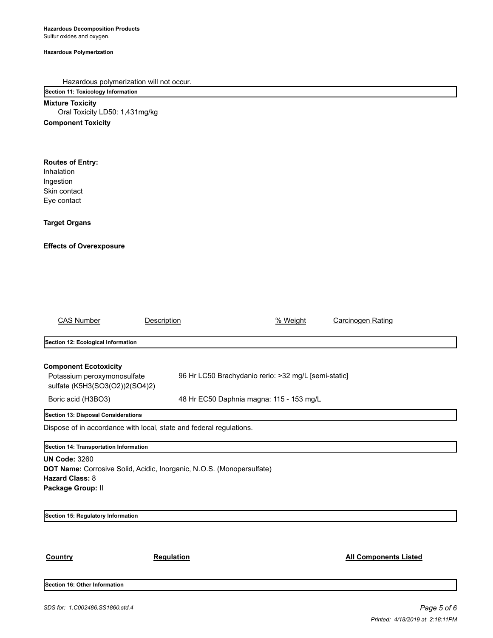### **Hazardous Polymerization**

Hazardous polymerization will not occur.

**Section 11: Toxicology Information**

**Mixture Toxicity** Oral Toxicity LD50: 1,431mg/kg **Component Toxicity**

# **Routes of Entry:**

Inhalation Ingestion Skin contact Eye contact

**Target Organs**

# **Effects of Overexposure**

| <b>CAS Number</b>                                                                                                                            | Description                                                         | % Weight                                             | Carcinogen Rating            |  |
|----------------------------------------------------------------------------------------------------------------------------------------------|---------------------------------------------------------------------|------------------------------------------------------|------------------------------|--|
| Section 12: Ecological Information                                                                                                           |                                                                     |                                                      |                              |  |
| <b>Component Ecotoxicity</b><br>Potassium peroxymonosulfate<br>sulfate (K5H3(SO3(O2))2(SO4)2)                                                |                                                                     | 96 Hr LC50 Brachydanio rerio: >32 mg/L [semi-static] |                              |  |
| Boric acid (H3BO3)                                                                                                                           |                                                                     | 48 Hr EC50 Daphnia magna: 115 - 153 mg/L             |                              |  |
| Section 13: Disposal Considerations                                                                                                          | Dispose of in accordance with local, state and federal regulations. |                                                      |                              |  |
| Section 14: Transportation Information                                                                                                       |                                                                     |                                                      |                              |  |
| <b>UN Code: 3260</b><br>DOT Name: Corrosive Solid, Acidic, Inorganic, N.O.S. (Monopersulfate)<br><b>Hazard Class: 8</b><br>Package Group: II |                                                                     |                                                      |                              |  |
| Section 15: Regulatory Information                                                                                                           |                                                                     |                                                      |                              |  |
| Country                                                                                                                                      | <b>Regulation</b>                                                   |                                                      | <b>All Components Listed</b> |  |

**Section 16: Other Information**